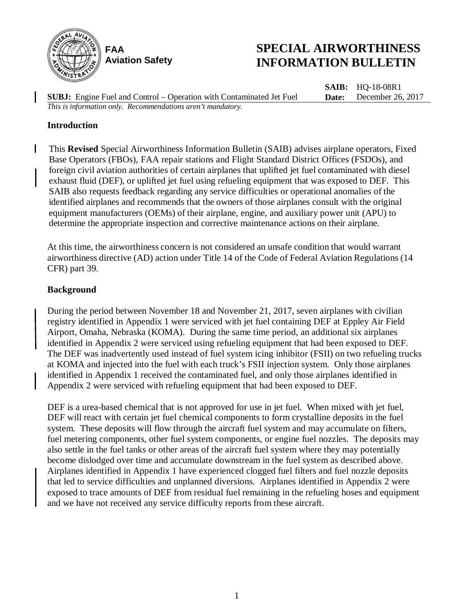

# **SPECIAL AIRWORTHINESS INFORMATION BULLETIN**

**SUBJ:** Engine Fuel and Control – Operation with Contaminated Jet Fuel **SAIB:** HQ-18-08R1 **Date:** December 26, 2017 *This is information only. Recommendations aren't mandatory.*

### **Introduction**

 $\mathsf{l}$ 

This **Revised** Special Airworthiness Information Bulletin (SAIB) advises airplane operators, Fixed Base Operators (FBOs), FAA repair stations and Flight Standard District Offices (FSDOs), and foreign civil aviation authorities of certain airplanes that uplifted jet fuel contaminated with diesel exhaust fluid (DEF), or uplifted jet fuel using refueling equipment that was exposed to DEF. This SAIB also requests feedback regarding any service difficulties or operational anomalies of the identified airplanes and recommends that the owners of those airplanes consult with the original equipment manufacturers (OEMs) of their airplane, engine, and auxiliary power unit (APU) to determine the appropriate inspection and corrective maintenance actions on their airplane.

At this time, the airworthiness concern is not considered an unsafe condition that would warrant airworthiness directive (AD) action under Title 14 of the Code of Federal Aviation Regulations (14 CFR) part 39.

#### **Background**

During the period between November 18 and November 21, 2017, seven airplanes with civilian registry identified in Appendix 1 were serviced with jet fuel containing DEF at Eppley Air Field Airport, Omaha, Nebraska (KOMA). During the same time period, an additional six airplanes identified in Appendix 2 were serviced using refueling equipment that had been exposed to DEF. The DEF was inadvertently used instead of fuel system icing inhibitor (FSII) on two refueling trucks at KOMA and injected into the fuel with each truck's FSII injection system. Only those airplanes identified in Appendix 1 received the contaminated fuel, and only those airplanes identified in Appendix 2 were serviced with refueling equipment that had been exposed to DEF.

DEF is a urea-based chemical that is not approved for use in jet fuel. When mixed with jet fuel, DEF will react with certain jet fuel chemical components to form crystalline deposits in the fuel system. These deposits will flow through the aircraft fuel system and may accumulate on filters, fuel metering components, other fuel system components, or engine fuel nozzles. The deposits may also settle in the fuel tanks or other areas of the aircraft fuel system where they may potentially become dislodged over time and accumulate downstream in the fuel system as described above. Airplanes identified in Appendix 1 have experienced clogged fuel filters and fuel nozzle deposits that led to service difficulties and unplanned diversions. Airplanes identified in Appendix 2 were exposed to trace amounts of DEF from residual fuel remaining in the refueling hoses and equipment and we have not received any service difficulty reports from these aircraft.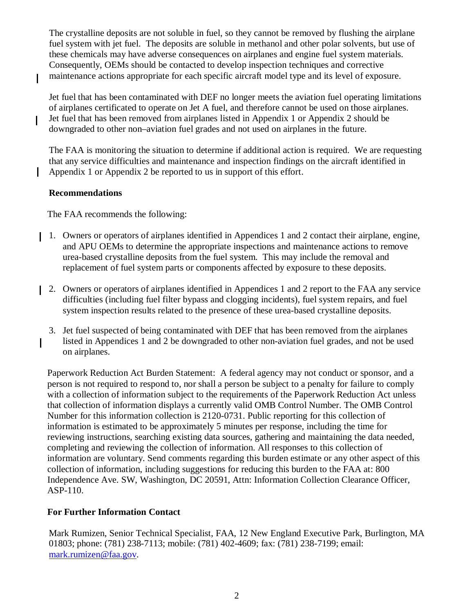The crystalline deposits are not soluble in fuel, so they cannot be removed by flushing the airplane fuel system with jet fuel. The deposits are soluble in methanol and other polar solvents, but use of these chemicals may have adverse consequences on airplanes and engine fuel system materials. Consequently, OEMs should be contacted to develop inspection techniques and corrective maintenance actions appropriate for each specific aircraft model type and its level of exposure.

Jet fuel that has been contaminated with DEF no longer meets the aviation fuel operating limitations of airplanes certificated to operate on Jet A fuel, and therefore cannot be used on those airplanes. Jet fuel that has been removed from airplanes listed in Appendix 1 or Appendix 2 should be downgraded to other non–aviation fuel grades and not used on airplanes in the future.

The FAA is monitoring the situation to determine if additional action is required. We are requesting that any service difficulties and maintenance and inspection findings on the aircraft identified in Appendix 1 or Appendix 2 be reported to us in support of this effort.

# **Recommendations**

I

 $\mathsf{I}$ 

The FAA recommends the following:

- 1. Owners or operators of airplanes identified in Appendices 1 and 2 contact their airplane, engine, and APU OEMs to determine the appropriate inspections and maintenance actions to remove urea-based crystalline deposits from the fuel system. This may include the removal and replacement of fuel system parts or components affected by exposure to these deposits.
- 2. Owners or operators of airplanes identified in Appendices 1 and 2 report to the FAA any service difficulties (including fuel filter bypass and clogging incidents), fuel system repairs, and fuel system inspection results related to the presence of these urea-based crystalline deposits.
	- 3. Jet fuel suspected of being contaminated with DEF that has been removed from the airplanes listed in Appendices 1 and 2 be downgraded to other non-aviation fuel grades, and not be used on airplanes.

Paperwork Reduction Act Burden Statement: A federal agency may not conduct or sponsor, and a person is not required to respond to, nor shall a person be subject to a penalty for failure to comply with a collection of information subject to the requirements of the Paperwork Reduction Act unless that collection of information displays a currently valid OMB Control Number. The OMB Control Number for this information collection is 2120-0731. Public reporting for this collection of information is estimated to be approximately 5 minutes per response, including the time for reviewing instructions, searching existing data sources, gathering and maintaining the data needed, completing and reviewing the collection of information. All responses to this collection of information are voluntary. Send comments regarding this burden estimate or any other aspect of this collection of information, including suggestions for reducing this burden to the FAA at: 800 Independence Ave. SW, Washington, DC 20591, Attn: Information Collection Clearance Officer, ASP-110.

# **For Further Information Contact**

Mark Rumizen, Senior Technical Specialist, FAA, 12 New England Executive Park, Burlington, MA 01803; phone: (781) 238-7113; mobile: (781) 402-4609; fax: (781) 238-7199; email: [mark.rumizen@faa.gov.](mailto:mark.rumizen@faa.gov)